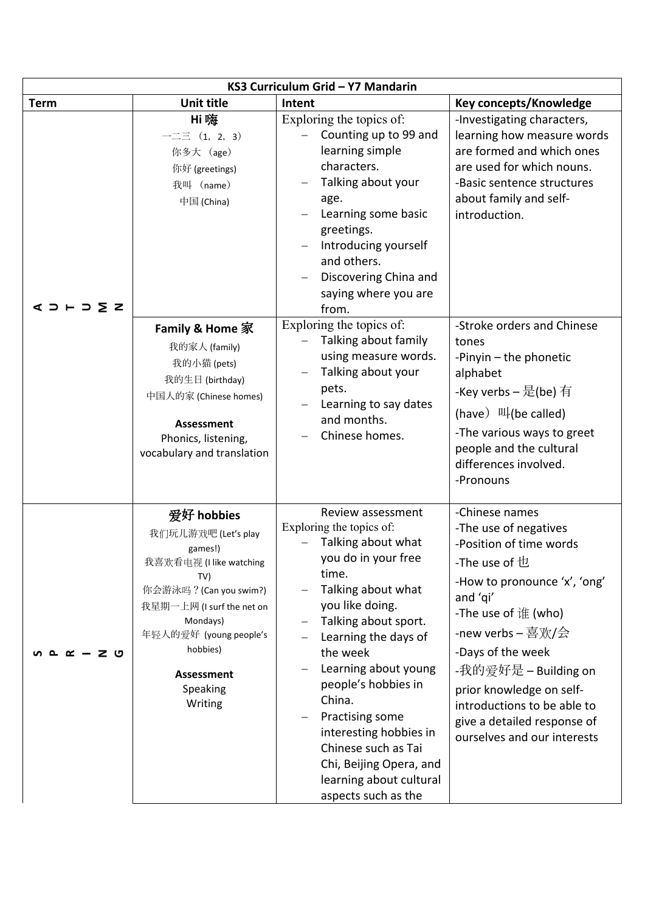| KS3 Curriculum Grid - Y7 Mandarin |                                                                                                                                                                                                                                     |                                                                                                                                                                                                                                                                                                                                                                                                                    |                                                                                                                                                                                                                                                                                                                                                     |  |  |  |  |
|-----------------------------------|-------------------------------------------------------------------------------------------------------------------------------------------------------------------------------------------------------------------------------------|--------------------------------------------------------------------------------------------------------------------------------------------------------------------------------------------------------------------------------------------------------------------------------------------------------------------------------------------------------------------------------------------------------------------|-----------------------------------------------------------------------------------------------------------------------------------------------------------------------------------------------------------------------------------------------------------------------------------------------------------------------------------------------------|--|--|--|--|
| <b>Term</b>                       | <b>Unit title</b>                                                                                                                                                                                                                   | Intent                                                                                                                                                                                                                                                                                                                                                                                                             | Key concepts/Knowledge                                                                                                                                                                                                                                                                                                                              |  |  |  |  |
| $35 - 52$                         | Hi 噬<br>$-\equiv$ $(1, 2, 3)$<br>你多大 (age)<br>你好 (greetings)<br>我叫 (name)<br>中国 (China)                                                                                                                                             | Exploring the topics of:<br>Counting up to 99 and<br>learning simple<br>characters.<br>Talking about your<br>age.<br>Learning some basic<br>greetings.<br>Introducing yourself<br>and others.<br>Discovering China and<br>saying where you are<br>from.                                                                                                                                                            | -Investigating characters,<br>learning how measure words<br>are formed and which ones<br>are used for which nouns.<br>-Basic sentence structures<br>about family and self-<br>introduction.                                                                                                                                                         |  |  |  |  |
|                                   | Family & Home 家<br>我的家人 (family)<br>我的小猫 (pets)<br>我的生日 (birthday)<br>中国人的家 (Chinese homes)<br><b>Assessment</b><br>Phonics, listening,<br>vocabulary and translation                                                               | Exploring the topics of:<br>Talking about family<br>using measure words.<br>Talking about your<br>pets.<br>Learning to say dates<br>and months.<br>Chinese homes.                                                                                                                                                                                                                                                  | -Stroke orders and Chinese<br>tones<br>-Pinyin - the phonetic<br>alphabet<br>-Key verbs – 是(be) 有<br>(have) $\Pi$ (be called)<br>-The various ways to greet<br>people and the cultural<br>differences involved.<br>-Pronouns                                                                                                                        |  |  |  |  |
| ு<br>≃                            | 爱好 hobbies<br>我们玩儿游戏吧 (Let's play<br>games!)<br>我喜欢看电视 (I like watching<br>TV)<br>你会游泳吗? (Can you swim?)<br>我星期一上网 (I surf the net on<br>Mondays)<br>年轻人的爱好 (young people's<br>hobbies)<br><b>Assessment</b><br>Speaking<br>Writing | Review assessment<br>Exploring the topics of:<br>Talking about what<br>you do in your free<br>time.<br>Talking about what<br>you like doing.<br>Talking about sport.<br>Learning the days of<br>the week<br>Learning about young<br>people's hobbies in<br>China.<br>Practising some<br>interesting hobbies in<br>Chinese such as Tai<br>Chi, Beijing Opera, and<br>learning about cultural<br>aspects such as the | -Chinese names<br>-The use of negatives<br>-Position of time words<br>-The use of $b$<br>-How to pronounce 'x', 'ong'<br>and 'qi'<br>-The use of 谁 (who)<br>-new verbs – 喜欢/会<br>-Days of the week<br>-我的爱好是 – Building on<br>prior knowledge on self-<br>introductions to be able to<br>give a detailed response of<br>ourselves and our interests |  |  |  |  |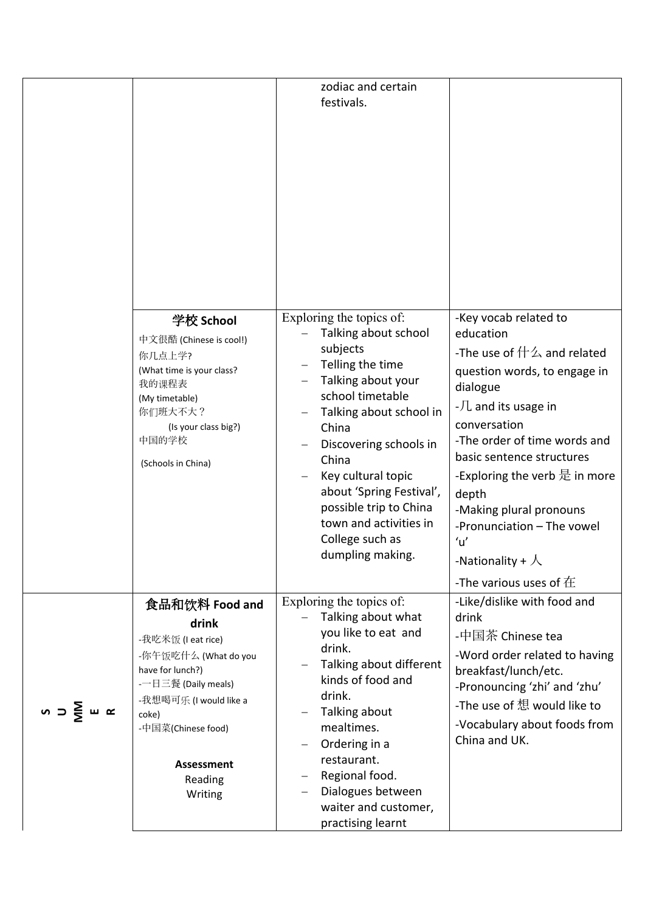|                                     |                                                                                                                                                                                                                | zodiac and certain<br>festivals.                                                                                                                                                                                                                                                                                                               |                                                                                                                                                                                                                                                                                                                                                                                                  |
|-------------------------------------|----------------------------------------------------------------------------------------------------------------------------------------------------------------------------------------------------------------|------------------------------------------------------------------------------------------------------------------------------------------------------------------------------------------------------------------------------------------------------------------------------------------------------------------------------------------------|--------------------------------------------------------------------------------------------------------------------------------------------------------------------------------------------------------------------------------------------------------------------------------------------------------------------------------------------------------------------------------------------------|
|                                     | 学校 School<br>中文很酷 (Chinese is cool!)<br>你几点上学?<br>(What time is your class?<br>我的课程表<br>(My timetable)<br>你们班大不大?<br>(Is your class big?)<br>中国的学校<br>(Schools in China)                                       | Exploring the topics of:<br>Talking about school<br>subjects<br>Telling the time<br>Talking about your<br>school timetable<br>Talking about school in<br>China<br>Discovering schools in<br>China<br>Key cultural topic<br>about 'Spring Festival',<br>possible trip to China<br>town and activities in<br>College such as<br>dumpling making. | -Key vocab related to<br>education<br>-The use of $\# \triangle$ and related<br>question words, to engage in<br>dialogue<br>$-$ 几 and its usage in<br>conversation<br>-The order of time words and<br>basic sentence structures<br>-Exploring the verb 是 in more<br>depth<br>-Making plural pronouns<br>-Pronunciation - The vowel<br>u'<br>-Nationality + $\lambda$<br>-The various uses of $E$ |
| $0 \supset \frac{1}{2}$ in $\alpha$ | 食品和饮料 Food and<br>drink<br>-我吃米饭 (I eat rice)<br>-你午饭吃什么 (What do you<br>have for lunch?)<br>- 一日三餐 (Daily meals)<br>-我想喝可乐 (I would like a<br>coke)<br>-中国菜(Chinese food)<br>Assessment<br>Reading<br>Writing | Exploring the topics of:<br>Talking about what<br>you like to eat and<br>drink.<br>Talking about different<br>kinds of food and<br>drink.<br>Talking about<br>mealtimes.<br>Ordering in a<br>restaurant.<br>Regional food.<br>Dialogues between<br>waiter and customer,                                                                        | -Like/dislike with food and<br>drink<br>-中国茶 Chinese tea<br>-Word order related to having<br>breakfast/lunch/etc.<br>-Pronouncing 'zhi' and 'zhu'<br>-The use of 想 would like to<br>-Vocabulary about foods from<br>China and UK.                                                                                                                                                                |